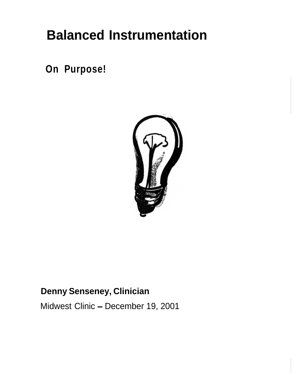# **Balanced Instrumentation**

**On Purpose!**



# **Denny Senseney, Clinician**

Midwest Clinic - December 19, 2001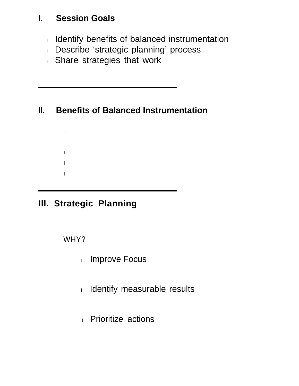## **I. Session Goals**

- $\Box$  Identify benefits of balanced instrumentation
- 1 Describe 'strategic planning' process
- $\Box$  Share strategies that work

# **Il. Benefits of Balanced Instrumentation**

l  $\overline{1}$ l  $\mathbf{1}$ l

# **III. Strategic Planning**

WHY?

- l Improve Focus
- l Identify measurable results
- 1 Prioritize actions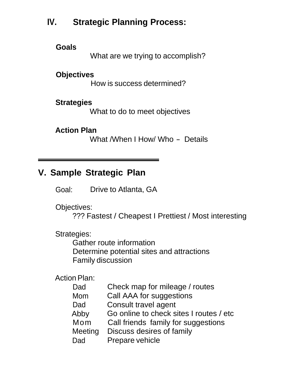# **IV. Strategic Planning Process:**

**Goals**

What are we trying to accomplish?

#### **Objectives**

How is success determined?

#### **Strategies**

What to do to meet objectives

#### **Action Plan**

What /When I How/ Who - Details

## **V. Sample Strategic Plan**

Goal: Drive to Atlanta, GA

Objectives:

??? Fastest / Cheapest I Prettiest / Most interesting

Strategies:

Gather route information Determine potential sites and attractions Family discussion

Action Plan:

| Dad     | Check map for mileage / routes          |
|---------|-----------------------------------------|
| Mom     | Call AAA for suggestions                |
| Dad     | Consult travel agent                    |
| Abby    | Go online to check sites I routes / etc |
| Mom     | Call friends family for suggestions     |
| Meeting | Discuss desires of family               |
| Dad     | Prepare vehicle                         |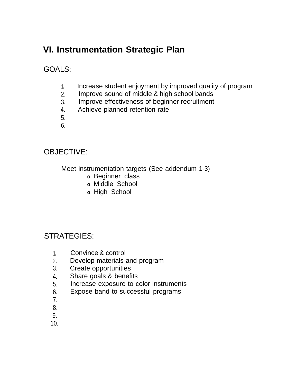# **VI. Instrumentation Strategic Plan**

GOALS:

- **1.** Increase student enjoyment by improved quality of program
- 2. Improve sound of middle & high school bands
- 3. Improve effectiveness of beginner recruitment
- 4. Achieve planned retention rate
- 5.
- 6.

#### OBJECTIVE:

Meet instrumentation targets (See addendum 1-3)

- **o** Beginner class
- **o** Middle School
- **o** High School

#### STRATEGIES:

- **1.** Convince & control
- 2. Develop materials and program
- 3. Create opportunities
- 4. Share goals & benefits
- 5. Increase exposure to color instruments
- 6. Expose band to successful programs
- 7.
- 8.
- 9.
- 10.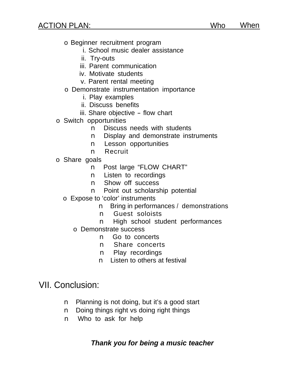- o Beginner recruitment program
	- i. School music dealer assistance
	- ii. Try-outs
	- iii. Parent communication
	- iv. Motivate students
	- v. Parent rental meeting
- o Demonstrate instrumentation importance
	- i. Play examples
	- ii. Discuss benefits
	- iii. Share objective flow chart
- o Switch opportunities
	- n Discuss needs with students
	- n Display and demonstrate instruments
	- n Lesson opportunities
	- n Recruit
- o Share goals
	- n Post large "FLOW CHART"
	- n Listen to recordings
	- n Show off success
	- n Point out scholarship potential
	- o Expose to 'color' instruments
		- n Bring in performances / demonstrations
		- n Guest soloists
		- n High school student performances
		- o Demonstrate success
			- n Go to concerts
			- n Share concerts
			- n Play recordings
			- n Listen to others at festival

#### VII. Conclusion:

- n Planning is not doing, but it's a good start
- n Doing things right vs doing right things
- n Who to ask for help

#### **Thank you for being a music teacher**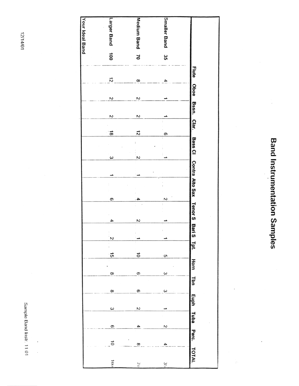**Band Instrumentation Samples** 



12/14/01

Sample Band Instr. 11.01